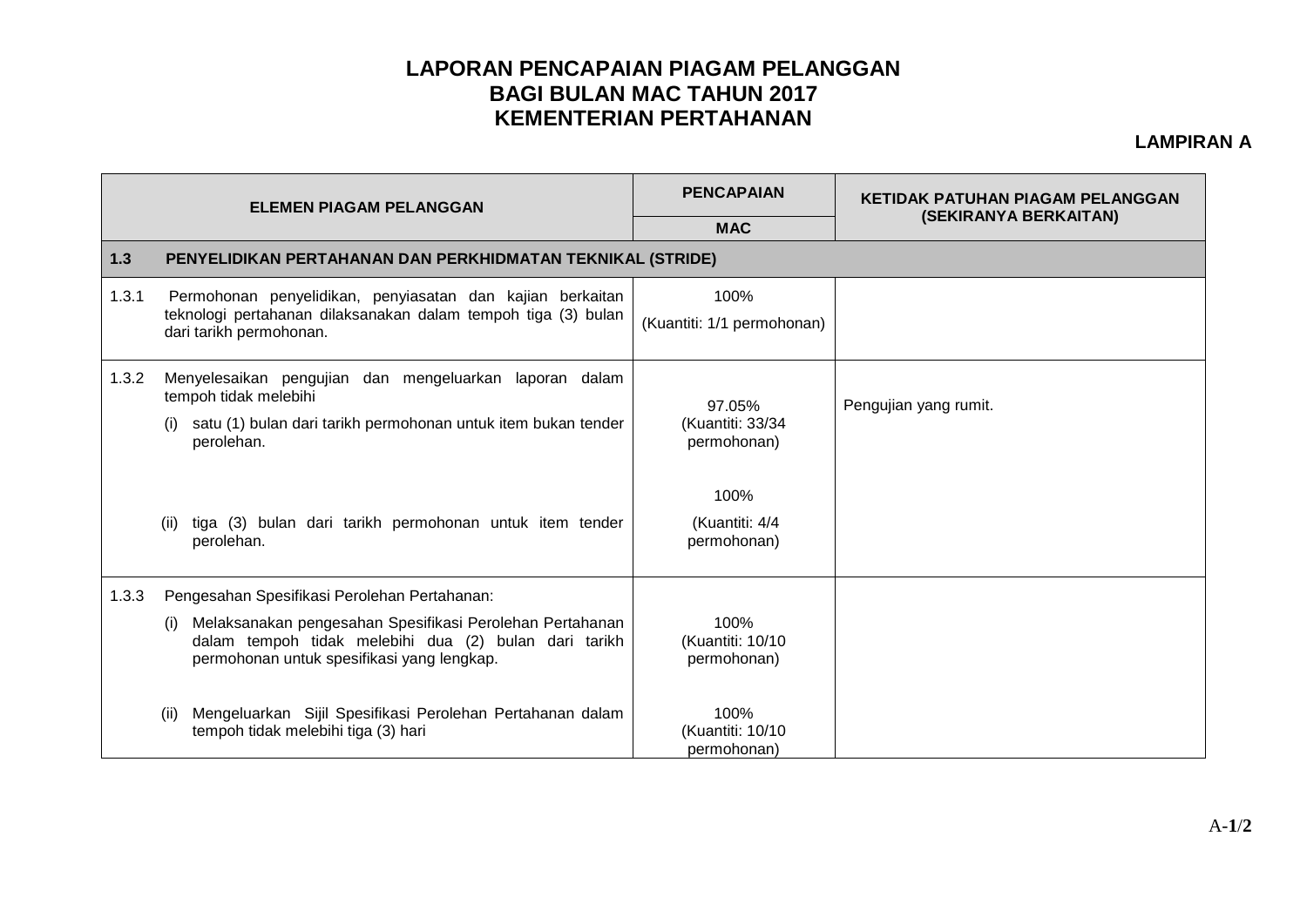## **LAPORAN PENCAPAIAN PIAGAM PELANGGAN BAGI BULAN MAC TAHUN 2017 KEMENTERIAN PERTAHANAN**

## **LAMPIRAN A**

| <b>ELEMEN PIAGAM PELANGGAN</b> |                                                                                                                                                                        | <b>PENCAPAIAN</b>                         | <b>KETIDAK PATUHAN PIAGAM PELANGGAN</b> |  |  |  |
|--------------------------------|------------------------------------------------------------------------------------------------------------------------------------------------------------------------|-------------------------------------------|-----------------------------------------|--|--|--|
|                                |                                                                                                                                                                        | <b>MAC</b>                                | (SEKIRANYA BERKAITAN)                   |  |  |  |
| 1.3                            | PENYELIDIKAN PERTAHANAN DAN PERKHIDMATAN TEKNIKAL (STRIDE)                                                                                                             |                                           |                                         |  |  |  |
| 1.3.1                          | Permohonan penyelidikan, penyiasatan dan kajian berkaitan<br>teknologi pertahanan dilaksanakan dalam tempoh tiga (3) bulan<br>dari tarikh permohonan.                  | 100%<br>(Kuantiti: 1/1 permohonan)        |                                         |  |  |  |
| 1.3.2                          | Menyelesaikan pengujian dan mengeluarkan laporan dalam<br>tempoh tidak melebihi<br>satu (1) bulan dari tarikh permohonan untuk item bukan tender<br>perolehan.         | 97.05%<br>(Kuantiti: 33/34<br>permohonan) | Pengujian yang rumit.                   |  |  |  |
|                                | tiga (3) bulan dari tarikh permohonan untuk item tender<br>(ii)<br>perolehan.                                                                                          | 100%<br>(Kuantiti: 4/4<br>permohonan)     |                                         |  |  |  |
| 1.3.3                          | Pengesahan Spesifikasi Perolehan Pertahanan:                                                                                                                           |                                           |                                         |  |  |  |
|                                | Melaksanakan pengesahan Spesifikasi Perolehan Pertahanan<br>(i)<br>dalam tempoh tidak melebihi dua (2) bulan dari tarikh<br>permohonan untuk spesifikasi yang lengkap. | 100%<br>(Kuantiti: 10/10<br>permohonan)   |                                         |  |  |  |
|                                | Mengeluarkan Sijil Spesifikasi Perolehan Pertahanan dalam<br>(ii)<br>tempoh tidak melebihi tiga (3) hari                                                               | 100%<br>(Kuantiti: 10/10<br>permohonan)   |                                         |  |  |  |